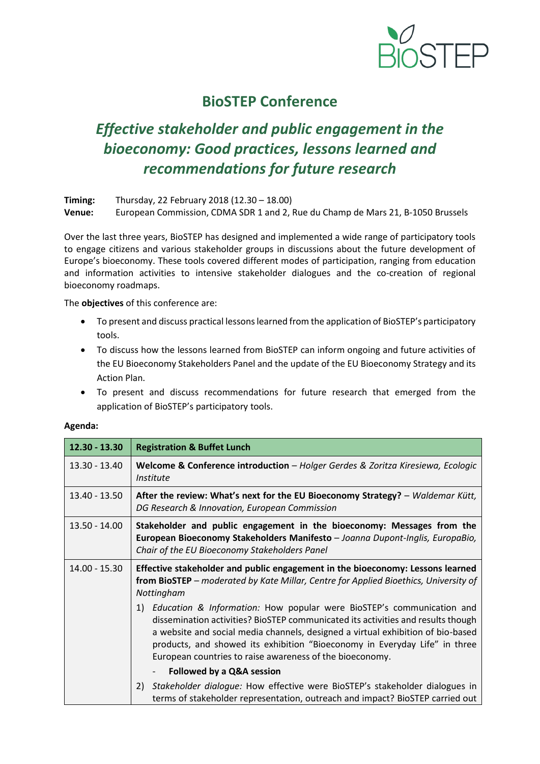

# **BioSTEP Conference**

# *Effective stakeholder and public engagement in the bioeconomy: Good practices, lessons learned and recommendations for future research*

**Timing:** Thursday, 22 February 2018 (12.30 – 18.00) **Venue:** European Commission, CDMA SDR 1 and 2, Rue du Champ de Mars 21, B-1050 Brussels

Over the last three years, BioSTEP has designed and implemented a wide range of participatory tools to engage citizens and various stakeholder groups in discussions about the future development of Europe's bioeconomy. These tools covered different modes of participation, ranging from education and information activities to intensive stakeholder dialogues and the co-creation of regional bioeconomy roadmaps.

The **objectives** of this conference are:

- To present and discuss practical lessons learned from the application of BioSTEP's participatory tools.
- To discuss how the lessons learned from BioSTEP can inform ongoing and future activities of the EU Bioeconomy Stakeholders Panel and the update of the EU Bioeconomy Strategy and its Action Plan.
- To present and discuss recommendations for future research that emerged from the application of BioSTEP's participatory tools.

| $12.30 - 13.30$ | <b>Registration &amp; Buffet Lunch</b>                                                                                                                                                                                                                                                                                                                                                    |
|-----------------|-------------------------------------------------------------------------------------------------------------------------------------------------------------------------------------------------------------------------------------------------------------------------------------------------------------------------------------------------------------------------------------------|
| 13.30 - 13.40   | Welcome & Conference introduction - Holger Gerdes & Zoritza Kiresiewa, Ecologic<br><i>Institute</i>                                                                                                                                                                                                                                                                                       |
| 13.40 - 13.50   | After the review: What's next for the EU Bioeconomy Strategy? - Waldemar Kütt,<br>DG Research & Innovation, European Commission                                                                                                                                                                                                                                                           |
| $13.50 - 14.00$ | Stakeholder and public engagement in the bioeconomy: Messages from the<br>European Bioeconomy Stakeholders Manifesto - Joanna Dupont-Inglis, EuropaBio,<br>Chair of the EU Bioeconomy Stakeholders Panel                                                                                                                                                                                  |
| 14.00 - 15.30   | Effective stakeholder and public engagement in the bioeconomy: Lessons learned<br>from BioSTEP - moderated by Kate Millar, Centre for Applied Bioethics, University of<br>Nottingham                                                                                                                                                                                                      |
|                 | 1) Education & Information: How popular were BioSTEP's communication and<br>dissemination activities? BioSTEP communicated its activities and results though<br>a website and social media channels, designed a virtual exhibition of bio-based<br>products, and showed its exhibition "Bioeconomy in Everyday Life" in three<br>European countries to raise awareness of the bioeconomy. |
|                 | Followed by a Q&A session                                                                                                                                                                                                                                                                                                                                                                 |
|                 | Stakeholder dialogue: How effective were BioSTEP's stakeholder dialogues in<br>2)<br>terms of stakeholder representation, outreach and impact? BioSTEP carried out                                                                                                                                                                                                                        |

#### **Agenda:**